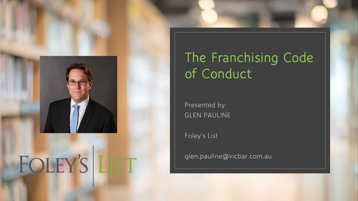

# FOLEY'S LIST

#### **The Franchising Code of Conduct**

Presented by: GLEN PAULINE

Foley's List

glen.pauline@vicbar.com.au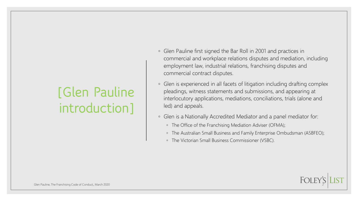#### **[Glen Pauline introduction]**

- Glen Pauline first signed the Bar Roll in 2001 and practices in commercial and workplace relations disputes and mediation, including employment law, industrial relations, franchising disputes and commercial contract disputes.
- Glen is experienced in all facets of litigation including drafting complex pleadings, witness statements and submissions, and appearing at interlocutory applications, mediations, conciliations, trials (alone and led) and appeals.
- Glen is a Nationally Accredited Mediator and a panel mediator for:
	- The Office of the Franchising Mediation Adviser (OFMA);
	- The Australian Small Business and Family Enterprise Ombudsman (ASBFEO);
	- The Victorian Small Business Commissioner (VSBC).

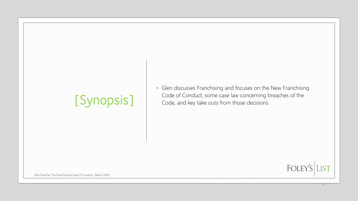### **[Synopsis]**

◦ Glen discusses Franchising and focuses on the New Franchising Code of Conduct, some case law concerning breaches of the Code, and key take outs from those decisions.

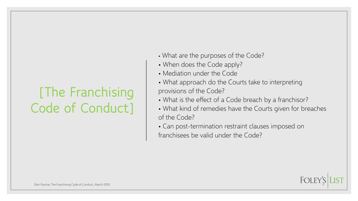#### **[The Franchising Code of Conduct]**

- What are the purposes of the Code?
- When does the Code apply?
- Mediation under the Code
- What approach do the Courts take to interpreting provisions of the Code?
- What is the effect of a Code breach by a franchisor?
- What kind of remedies have the Courts given for breaches of the Code?
- Can post-termination restraint clauses imposed on franchisees be valid under the Code?

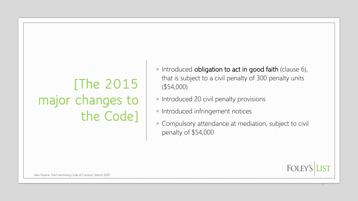### **[The 2015 major changes to the Code]**

- Introduced obligation to act in good faith (clause 6), that is subject to a civil penalty of 300 penalty units (\$54,000)
- Introduced 20 civil penalty provisions
- Introduced infringement notices
- Compulsory attendance at mediation, subject to civil penalty of \$54,000

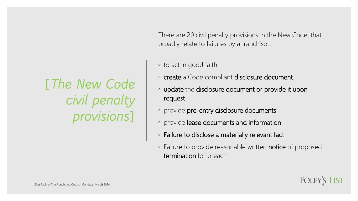**[***The New Code civil penalty provisions***]** 

There are 20 civil penalty provisions in the New Code, that broadly relate to failures by a franchisor:

#### ◦ to act in good faith

- create a Code compliant disclosure document
- update the disclosure document or provide it upon request
- provide pre-entry disclosure documents
- provide lease documents and information
- Failure to disclose a materially relevant fact
- Failure to provide reasonable written notice of proposed termination for breach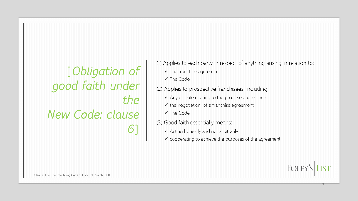**[***Obligation of good faith under the New Code: clause 6***]** 

(1) Applies to each party in respect of anything arising in relation to:

- $\checkmark$  The franchise agreement
- $\checkmark$  The Code
- (2) Applies to prospective franchisees, including:
	- $\checkmark$  Any dispute relating to the proposed agreement
	- $\checkmark$  the negotiation of a franchise agreement
	- $\checkmark$  The Code
- (3) Good faith essentially means:
	- $\checkmark$  Acting honestly and not arbitrarily
	- $\checkmark$  cooperating to achieve the purposes of the agreement



7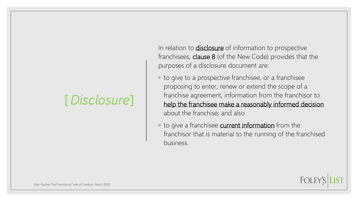#### **[***Disclosure***]**

In relation to **disclosure** of information to prospective franchisees, clause 8 (of the New Code) provides that the purposes of a disclosure document are:

- to give to a prospective franchisee, or a franchisee proposing to enter, renew or extend the scope of a franchise agreement, information from the franchisor to help the franchisee make a reasonably informed decision about the franchise; and also
- to give a franchisee current information from the franchisor that is material to the running of the franchised business.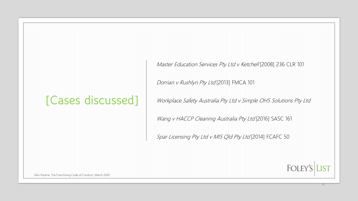#### **[Cases discussed]**

Master Education Services Pty Ltd v Ketchell [2008] 236 CLR 101

Dorrian v Rushlyn Pty Ltd [2013] FMCA 101

Workplace Safety Australia Pty Ltd v Simple OHS Solutions Pty Ltd

Wang v HACCP Cleaning Australia Pty Ltd [2016] SASC 161

Spar Licensing Pty Ltd v MIS Qld Pty Ltd [2014] FCAFC 50